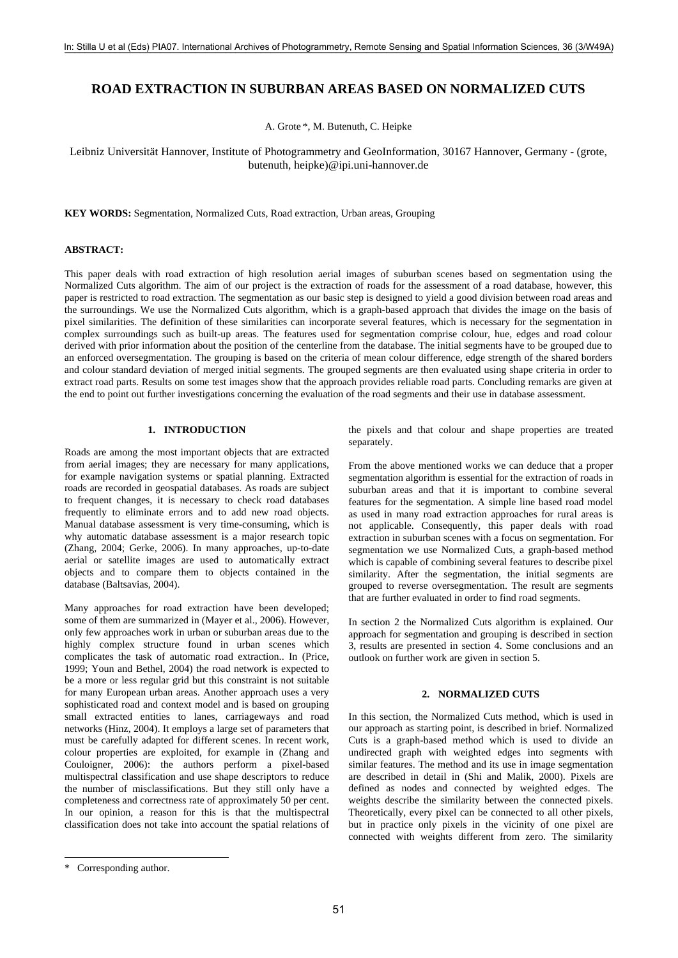# **ROAD EXTRACTION IN SUBURBAN AREAS BASED ON NORMALIZED CUTS**

A. Grote \*, M. Butenuth, C. Heipke

Leibniz Universität Hannover, Institute of Photogrammetry and GeoInformation, 30167 Hannover, Germany - (grote, butenuth, heipke)@ipi.uni-hannover.de

**KEY WORDS:** Segmentation, Normalized Cuts, Road extraction, Urban areas, Grouping

### **ABSTRACT:**

This paper deals with road extraction of high resolution aerial images of suburban scenes based on segmentation using the Normalized Cuts algorithm. The aim of our project is the extraction of roads for the assessment of a road database, however, this paper is restricted to road extraction. The segmentation as our basic step is designed to yield a good division between road areas and the surroundings. We use the Normalized Cuts algorithm, which is a graph-based approach that divides the image on the basis of pixel similarities. The definition of these similarities can incorporate several features, which is necessary for the segmentation in complex surroundings such as built-up areas. The features used for segmentation comprise colour, hue, edges and road colour derived with prior information about the position of the centerline from the database. The initial segments have to be grouped due to an enforced oversegmentation. The grouping is based on the criteria of mean colour difference, edge strength of the shared borders and colour standard deviation of merged initial segments. The grouped segments are then evaluated using shape criteria in order to extract road parts. Results on some test images show that the approach provides reliable road parts. Concluding remarks are given at the end to point out further investigations concerning the evaluation of the road segments and their use in database assessment.

## **1. INTRODUCTION**

Roads are among the most important objects that are extracted from aerial images; they are necessary for many applications, for example navigation systems or spatial planning. Extracted roads are recorded in geospatial databases. As roads are subject to frequent changes, it is necessary to check road databases frequently to eliminate errors and to add new road objects. Manual database assessment is very time-consuming, which is why automatic database assessment is a major research topic (Zhang, 2004; Gerke, 2006). In many approaches, up-to-date aerial or satellite images are used to automatically extract objects and to compare them to objects contained in the database (Baltsavias, 2004).

Many approaches for road extraction have been developed; some of them are summarized in (Mayer et al., 2006). However, only few approaches work in urban or suburban areas due to the highly complex structure found in urban scenes which complicates the task of automatic road extraction.. In (Price, 1999; Youn and Bethel, 2004) the road network is expected to be a more or less regular grid but this constraint is not suitable for many European urban areas. Another approach uses a very sophisticated road and context model and is based on grouping small extracted entities to lanes, carriageways and road networks (Hinz, 2004). It employs a large set of parameters that must be carefully adapted for different scenes. In recent work, colour properties are exploited, for example in (Zhang and Couloigner, 2006): the authors perform a pixel-based multispectral classification and use shape descriptors to reduce the number of misclassifications. But they still only have a completeness and correctness rate of approximately 50 per cent. In our opinion, a reason for this is that the multispectral classification does not take into account the spatial relations of

l

the pixels and that colour and shape properties are treated separately.

From the above mentioned works we can deduce that a proper segmentation algorithm is essential for the extraction of roads in suburban areas and that it is important to combine several features for the segmentation. A simple line based road model as used in many road extraction approaches for rural areas is not applicable. Consequently, this paper deals with road extraction in suburban scenes with a focus on segmentation. For segmentation we use Normalized Cuts, a graph-based method which is capable of combining several features to describe pixel similarity. After the segmentation, the initial segments are grouped to reverse oversegmentation. The result are segments that are further evaluated in order to find road segments.

In section 2 the Normalized Cuts algorithm is explained. Our approach for segmentation and grouping is described in section 3, results are presented in section 4. Some conclusions and an outlook on further work are given in section 5.

### **2. NORMALIZED CUTS**

In this section, the Normalized Cuts method, which is used in our approach as starting point, is described in brief. Normalized Cuts is a graph-based method which is used to divide an undirected graph with weighted edges into segments with similar features. The method and its use in image segmentation are described in detail in (Shi and Malik, 2000). Pixels are defined as nodes and connected by weighted edges. The weights describe the similarity between the connected pixels. Theoretically, every pixel can be connected to all other pixels, but in practice only pixels in the vicinity of one pixel are connected with weights different from zero. The similarity

<sup>\*</sup> Corresponding author.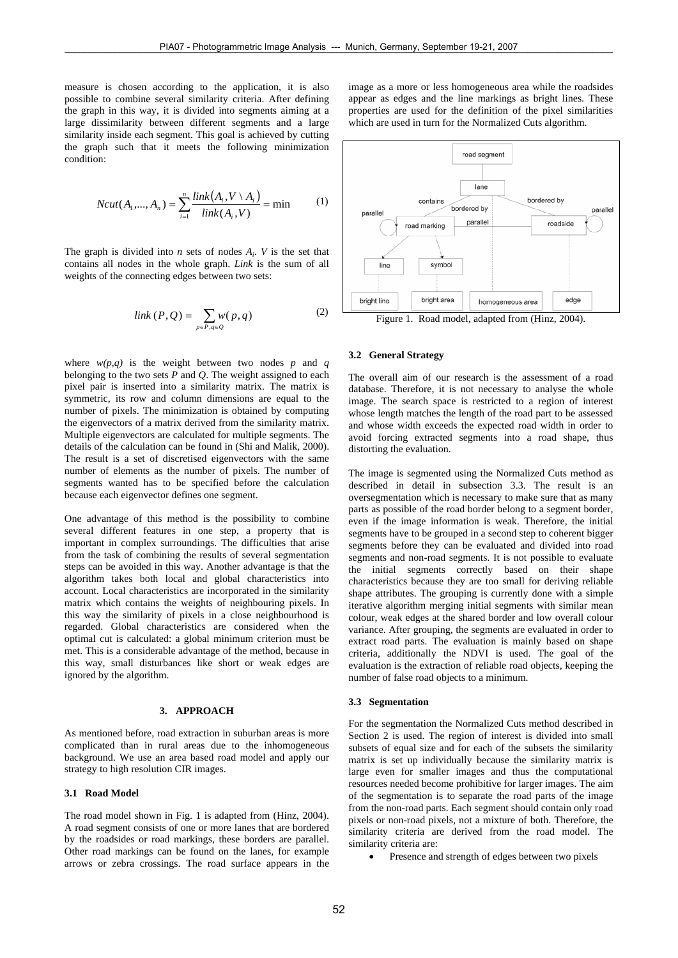measure is chosen according to the application, it is also possible to combine several similarity criteria. After defining the graph in this way, it is divided into segments aiming at a large dissimilarity between different segments and a large similarity inside each segment. This goal is achieved by cutting the graph such that it meets the following minimization condition:

$$
Ncut(A_1, ..., A_n) = \sum_{i=1}^{n} \frac{link(A_i, V \setminus A_i)}{link(A_i, V)} = \min \tag{1}
$$

The graph is divided into *n* sets of nodes  $A_i$ . *V* is the set that contains all nodes in the whole graph. *Link* is the sum of all weights of the connecting edges between two sets:

$$
link(P, Q) = \sum_{p \in P, q \in Q} w(p, q)
$$
 (2)

where  $w(p,q)$  is the weight between two nodes p and q belonging to the two sets *P* and *Q*. The weight assigned to each pixel pair is inserted into a similarity matrix. The matrix is symmetric, its row and column dimensions are equal to the number of pixels. The minimization is obtained by computing the eigenvectors of a matrix derived from the similarity matrix. Multiple eigenvectors are calculated for multiple segments. The details of the calculation can be found in (Shi and Malik, 2000). The result is a set of discretised eigenvectors with the same number of elements as the number of pixels. The number of segments wanted has to be specified before the calculation because each eigenvector defines one segment.

One advantage of this method is the possibility to combine several different features in one step, a property that is important in complex surroundings. The difficulties that arise from the task of combining the results of several segmentation steps can be avoided in this way. Another advantage is that the algorithm takes both local and global characteristics into account. Local characteristics are incorporated in the similarity matrix which contains the weights of neighbouring pixels. In this way the similarity of pixels in a close neighbourhood is regarded. Global characteristics are considered when the optimal cut is calculated: a global minimum criterion must be met. This is a considerable advantage of the method, because in this way, small disturbances like short or weak edges are ignored by the algorithm.

#### **3. APPROACH**

As mentioned before, road extraction in suburban areas is more complicated than in rural areas due to the inhomogeneous background. We use an area based road model and apply our strategy to high resolution CIR images.

## **3.1 Road Model**

The road model shown in Fig. 1 is adapted from (Hinz, 2004). A road segment consists of one or more lanes that are bordered by the roadsides or road markings, these borders are parallel. Other road markings can be found on the lanes, for example arrows or zebra crossings. The road surface appears in the image as a more or less homogeneous area while the roadsides appear as edges and the line markings as bright lines. These properties are used for the definition of the pixel similarities which are used in turn for the Normalized Cuts algorithm.



Figure 1. Road model, adapted from (Hinz, 2004).

### **3.2 General Strategy**

The overall aim of our research is the assessment of a road database. Therefore, it is not necessary to analyse the whole image. The search space is restricted to a region of interest whose length matches the length of the road part to be assessed and whose width exceeds the expected road width in order to avoid forcing extracted segments into a road shape, thus distorting the evaluation.

The image is segmented using the Normalized Cuts method as described in detail in subsection 3.3. The result is an oversegmentation which is necessary to make sure that as many parts as possible of the road border belong to a segment border, even if the image information is weak. Therefore, the initial segments have to be grouped in a second step to coherent bigger segments before they can be evaluated and divided into road segments and non-road segments. It is not possible to evaluate the initial segments correctly based on their shape characteristics because they are too small for deriving reliable shape attributes. The grouping is currently done with a simple iterative algorithm merging initial segments with similar mean colour, weak edges at the shared border and low overall colour variance. After grouping, the segments are evaluated in order to extract road parts. The evaluation is mainly based on shape criteria, additionally the NDVI is used. The goal of the evaluation is the extraction of reliable road objects, keeping the number of false road objects to a minimum.

### **3.3 Segmentation**

For the segmentation the Normalized Cuts method described in Section 2 is used. The region of interest is divided into small subsets of equal size and for each of the subsets the similarity matrix is set up individually because the similarity matrix is large even for smaller images and thus the computational resources needed become prohibitive for larger images. The aim of the segmentation is to separate the road parts of the image from the non-road parts. Each segment should contain only road pixels or non-road pixels, not a mixture of both. Therefore, the similarity criteria are derived from the road model. The similarity criteria are:

• Presence and strength of edges between two pixels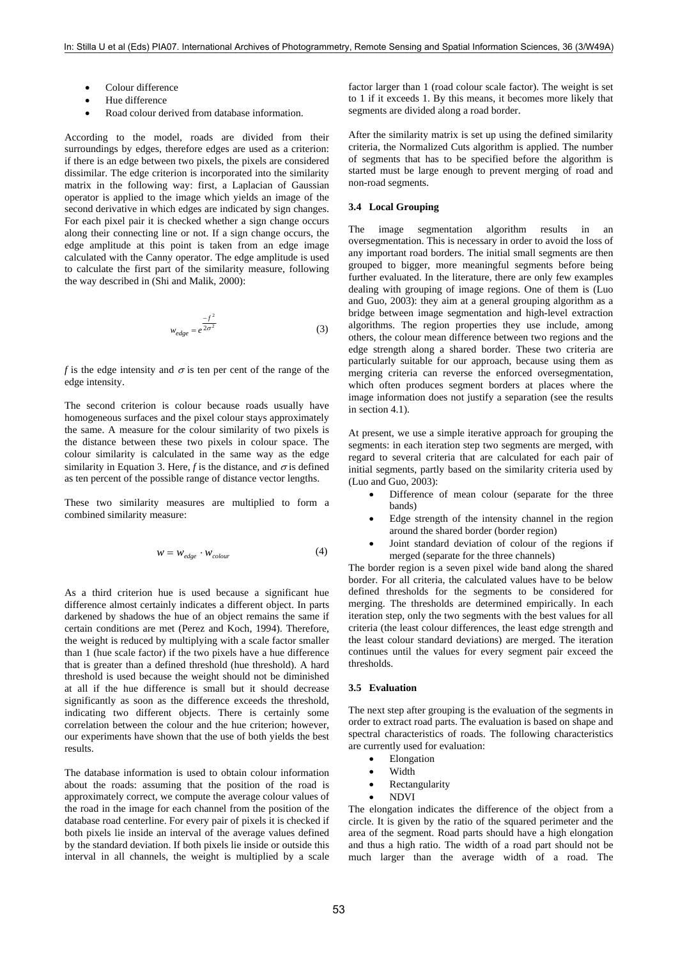- Colour difference
- Hue difference
- Road colour derived from database information.

According to the model, roads are divided from their surroundings by edges, therefore edges are used as a criterion: if there is an edge between two pixels, the pixels are considered dissimilar. The edge criterion is incorporated into the similarity matrix in the following way: first, a Laplacian of Gaussian operator is applied to the image which yields an image of the second derivative in which edges are indicated by sign changes. For each pixel pair it is checked whether a sign change occurs along their connecting line or not. If a sign change occurs, the edge amplitude at this point is taken from an edge image calculated with the Canny operator. The edge amplitude is used to calculate the first part of the similarity measure, following the way described in (Shi and Malik, 2000):

$$
w_{edge} = e^{\frac{-f^2}{2\sigma^2}}
$$
 (3)

*f* is the edge intensity and  $\sigma$  is ten per cent of the range of the edge intensity.

The second criterion is colour because roads usually have homogeneous surfaces and the pixel colour stays approximately the same. A measure for the colour similarity of two pixels is the distance between these two pixels in colour space. The colour similarity is calculated in the same way as the edge similarity in Equation 3. Here, *f* is the distance, and  $\sigma$  is defined as ten percent of the possible range of distance vector lengths.

These two similarity measures are multiplied to form a combined similarity measure:

$$
w = w_{edge} \cdot w_{colour} \tag{4}
$$

As a third criterion hue is used because a significant hue difference almost certainly indicates a different object. In parts darkened by shadows the hue of an object remains the same if certain conditions are met (Perez and Koch, 1994). Therefore, the weight is reduced by multiplying with a scale factor smaller than 1 (hue scale factor) if the two pixels have a hue difference that is greater than a defined threshold (hue threshold). A hard threshold is used because the weight should not be diminished at all if the hue difference is small but it should decrease significantly as soon as the difference exceeds the threshold, indicating two different objects. There is certainly some correlation between the colour and the hue criterion; however, our experiments have shown that the use of both yields the best results.

The database information is used to obtain colour information about the roads: assuming that the position of the road is approximately correct, we compute the average colour values of the road in the image for each channel from the position of the database road centerline. For every pair of pixels it is checked if both pixels lie inside an interval of the average values defined by the standard deviation. If both pixels lie inside or outside this interval in all channels, the weight is multiplied by a scale

factor larger than 1 (road colour scale factor). The weight is set to 1 if it exceeds 1. By this means, it becomes more likely that segments are divided along a road border.

After the similarity matrix is set up using the defined similarity criteria, the Normalized Cuts algorithm is applied. The number of segments that has to be specified before the algorithm is started must be large enough to prevent merging of road and non-road segments.

### **3.4 Local Grouping**

The image segmentation algorithm results in oversegmentation. This is necessary in order to avoid the loss of any important road borders. The initial small segments are then grouped to bigger, more meaningful segments before being further evaluated. In the literature, there are only few examples dealing with grouping of image regions. One of them is (Luo and Guo, 2003): they aim at a general grouping algorithm as a bridge between image segmentation and high-level extraction algorithms. The region properties they use include, among others, the colour mean difference between two regions and the edge strength along a shared border. These two criteria are particularly suitable for our approach, because using them as merging criteria can reverse the enforced oversegmentation, which often produces segment borders at places where the image information does not justify a separation (see the results in section 4.1).

At present, we use a simple iterative approach for grouping the segments: in each iteration step two segments are merged, with regard to several criteria that are calculated for each pair of initial segments, partly based on the similarity criteria used by (Luo and Guo, 2003):

- Difference of mean colour (separate for the three bands)
- Edge strength of the intensity channel in the region around the shared border (border region)
- Joint standard deviation of colour of the regions if merged (separate for the three channels)

The border region is a seven pixel wide band along the shared border. For all criteria, the calculated values have to be below defined thresholds for the segments to be considered for merging. The thresholds are determined empirically. In each iteration step, only the two segments with the best values for all criteria (the least colour differences, the least edge strength and the least colour standard deviations) are merged. The iteration continues until the values for every segment pair exceed the thresholds.

#### **3.5 Evaluation**

The next step after grouping is the evaluation of the segments in order to extract road parts. The evaluation is based on shape and spectral characteristics of roads. The following characteristics are currently used for evaluation:

- **Elongation**
- Width
- **Rectangularity**
- NDVI

The elongation indicates the difference of the object from a circle. It is given by the ratio of the squared perimeter and the area of the segment. Road parts should have a high elongation and thus a high ratio. The width of a road part should not be much larger than the average width of a road. The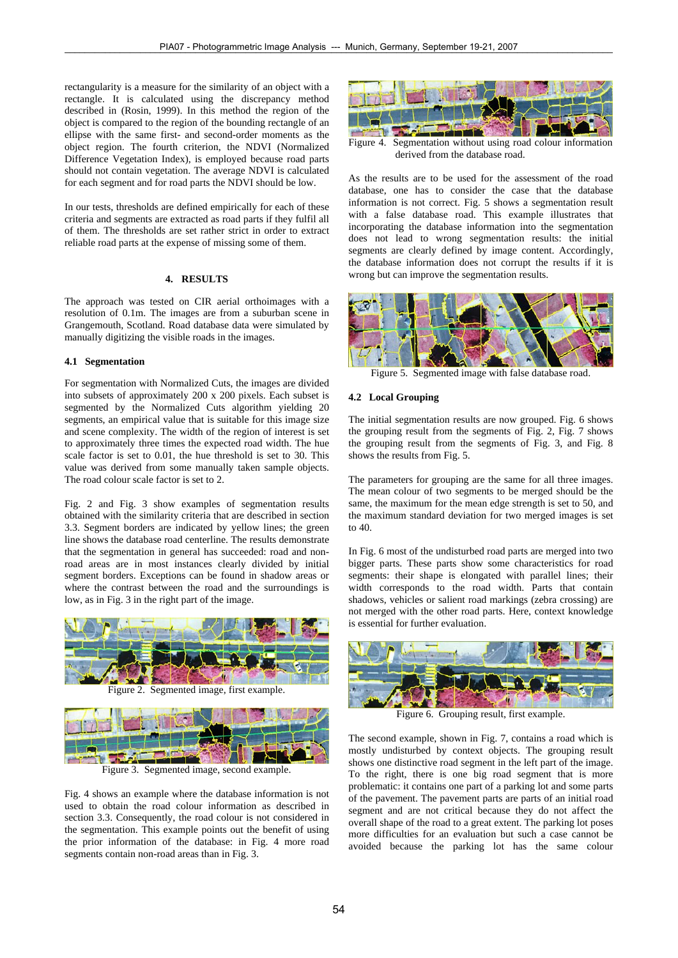rectangularity is a measure for the similarity of an object with a rectangle. It is calculated using the discrepancy method described in (Rosin, 1999). In this method the region of the object is compared to the region of the bounding rectangle of an ellipse with the same first- and second-order moments as the object region. The fourth criterion, the NDVI (Normalized Difference Vegetation Index), is employed because road parts should not contain vegetation. The average NDVI is calculated for each segment and for road parts the NDVI should be low.

In our tests, thresholds are defined empirically for each of these criteria and segments are extracted as road parts if they fulfil all of them. The thresholds are set rather strict in order to extract reliable road parts at the expense of missing some of them.

## **4. RESULTS**

The approach was tested on CIR aerial orthoimages with a resolution of 0.1m. The images are from a suburban scene in Grangemouth, Scotland. Road database data were simulated by manually digitizing the visible roads in the images.

### **4.1 Segmentation**

For segmentation with Normalized Cuts, the images are divided into subsets of approximately 200 x 200 pixels. Each subset is segmented by the Normalized Cuts algorithm yielding 20 segments, an empirical value that is suitable for this image size and scene complexity. The width of the region of interest is set to approximately three times the expected road width. The hue scale factor is set to 0.01, the hue threshold is set to 30. This value was derived from some manually taken sample objects. The road colour scale factor is set to 2.

Fig. 2 and Fig. 3 show examples of segmentation results obtained with the similarity criteria that are described in section 3.3. Segment borders are indicated by yellow lines; the green line shows the database road centerline. The results demonstrate that the segmentation in general has succeeded: road and nonroad areas are in most instances clearly divided by initial segment borders. Exceptions can be found in shadow areas or where the contrast between the road and the surroundings is low, as in Fig. 3 in the right part of the image.



Figure 2. Segmented image, first example.



Figure 3. Segmented image, second example.

Fig. 4 shows an example where the database information is not used to obtain the road colour information as described in section 3.3. Consequently, the road colour is not considered in the segmentation. This example points out the benefit of using the prior information of the database: in Fig. 4 more road segments contain non-road areas than in Fig. 3.



Figure 4. Segmentation without using road colour information derived from the database road.

As the results are to be used for the assessment of the road database, one has to consider the case that the database information is not correct. Fig. 5 shows a segmentation result with a false database road. This example illustrates that incorporating the database information into the segmentation does not lead to wrong segmentation results: the initial segments are clearly defined by image content. Accordingly, the database information does not corrupt the results if it is wrong but can improve the segmentation results.



Figure 5. Segmented image with false database road.

### **4.2 Local Grouping**

The initial segmentation results are now grouped. Fig. 6 shows the grouping result from the segments of Fig. 2, Fig. 7 shows the grouping result from the segments of Fig. 3, and Fig. 8 shows the results from Fig. 5.

The parameters for grouping are the same for all three images. The mean colour of two segments to be merged should be the same, the maximum for the mean edge strength is set to 50, and the maximum standard deviation for two merged images is set to 40.

In Fig. 6 most of the undisturbed road parts are merged into two bigger parts. These parts show some characteristics for road segments: their shape is elongated with parallel lines; their width corresponds to the road width. Parts that contain shadows, vehicles or salient road markings (zebra crossing) are not merged with the other road parts. Here, context knowledge is essential for further evaluation.



Figure 6. Grouping result, first example.

The second example, shown in Fig. 7, contains a road which is mostly undisturbed by context objects. The grouping result shows one distinctive road segment in the left part of the image. To the right, there is one big road segment that is more problematic: it contains one part of a parking lot and some parts of the pavement. The pavement parts are parts of an initial road segment and are not critical because they do not affect the overall shape of the road to a great extent. The parking lot poses more difficulties for an evaluation but such a case cannot be avoided because the parking lot has the same colour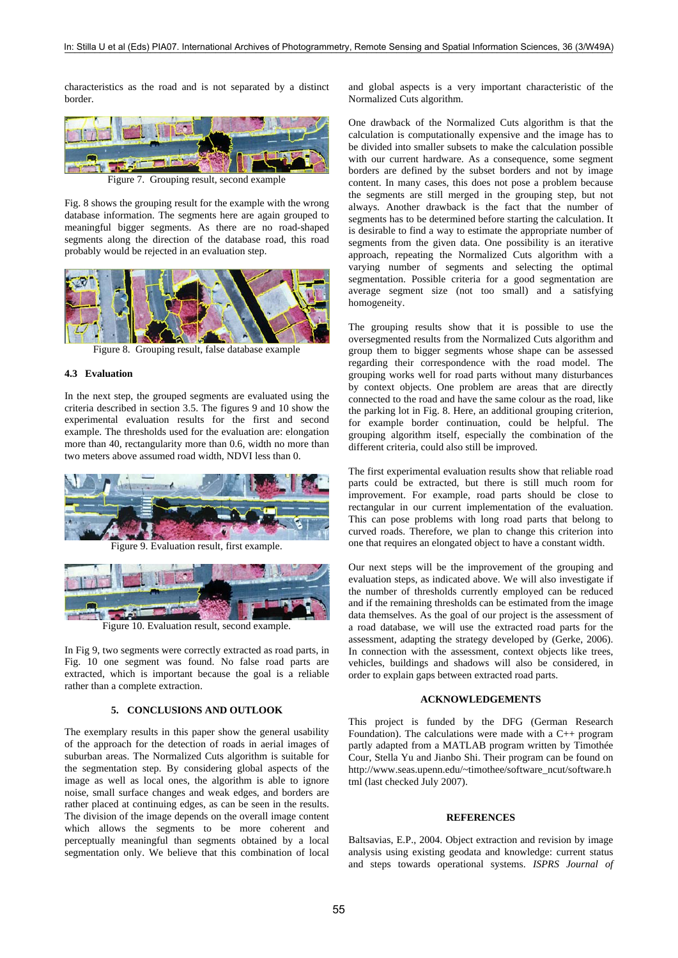characteristics as the road and is not separated by a distinct border.



Figure 7. Grouping result, second example

Fig. 8 shows the grouping result for the example with the wrong database information. The segments here are again grouped to meaningful bigger segments. As there are no road-shaped segments along the direction of the database road, this road probably would be rejected in an evaluation step.



Figure 8. Grouping result, false database example

#### **4.3 Evaluation**

In the next step, the grouped segments are evaluated using the criteria described in section 3.5. The figures 9 and 10 show the experimental evaluation results for the first and second example. The thresholds used for the evaluation are: elongation more than 40, rectangularity more than 0.6, width no more than two meters above assumed road width, NDVI less than 0.



Figure 9. Evaluation result, first example.



Figure 10. Evaluation result, second example.

In Fig 9, two segments were correctly extracted as road parts, in Fig. 10 one segment was found. No false road parts are extracted, which is important because the goal is a reliable rather than a complete extraction.

## **5. CONCLUSIONS AND OUTLOOK**

The exemplary results in this paper show the general usability of the approach for the detection of roads in aerial images of suburban areas. The Normalized Cuts algorithm is suitable for the segmentation step. By considering global aspects of the image as well as local ones, the algorithm is able to ignore noise, small surface changes and weak edges, and borders are rather placed at continuing edges, as can be seen in the results. The division of the image depends on the overall image content which allows the segments to be more coherent and perceptually meaningful than segments obtained by a local segmentation only. We believe that this combination of local and global aspects is a very important characteristic of the Normalized Cuts algorithm.

One drawback of the Normalized Cuts algorithm is that the calculation is computationally expensive and the image has to be divided into smaller subsets to make the calculation possible with our current hardware. As a consequence, some segment borders are defined by the subset borders and not by image content. In many cases, this does not pose a problem because the segments are still merged in the grouping step, but not always. Another drawback is the fact that the number of segments has to be determined before starting the calculation. It is desirable to find a way to estimate the appropriate number of segments from the given data. One possibility is an iterative approach, repeating the Normalized Cuts algorithm with a varying number of segments and selecting the optimal segmentation. Possible criteria for a good segmentation are average segment size (not too small) and a satisfying homogeneity.

The grouping results show that it is possible to use the oversegmented results from the Normalized Cuts algorithm and group them to bigger segments whose shape can be assessed regarding their correspondence with the road model. The grouping works well for road parts without many disturbances by context objects. One problem are areas that are directly connected to the road and have the same colour as the road, like the parking lot in Fig. 8. Here, an additional grouping criterion, for example border continuation, could be helpful. The grouping algorithm itself, especially the combination of the different criteria, could also still be improved.

The first experimental evaluation results show that reliable road parts could be extracted, but there is still much room for improvement. For example, road parts should be close to rectangular in our current implementation of the evaluation. This can pose problems with long road parts that belong to curved roads. Therefore, we plan to change this criterion into one that requires an elongated object to have a constant width.

Our next steps will be the improvement of the grouping and evaluation steps, as indicated above. We will also investigate if the number of thresholds currently employed can be reduced and if the remaining thresholds can be estimated from the image data themselves. As the goal of our project is the assessment of a road database, we will use the extracted road parts for the assessment, adapting the strategy developed by (Gerke, 2006). In connection with the assessment, context objects like trees, vehicles, buildings and shadows will also be considered, in order to explain gaps between extracted road parts.

### **ACKNOWLEDGEMENTS**

This project is funded by the DFG (German Research Foundation). The calculations were made with a  $C_{++}$  program partly adapted from a MATLAB program written by Timothée Cour, Stella Yu and Jianbo Shi. Their program can be found on http://www.seas.upenn.edu/~timothee/software\_ncut/software.h tml (last checked July 2007).

### **REFERENCES**

Baltsavias, E.P., 2004. Object extraction and revision by image analysis using existing geodata and knowledge: current status and steps towards operational systems. *ISPRS Journal of*